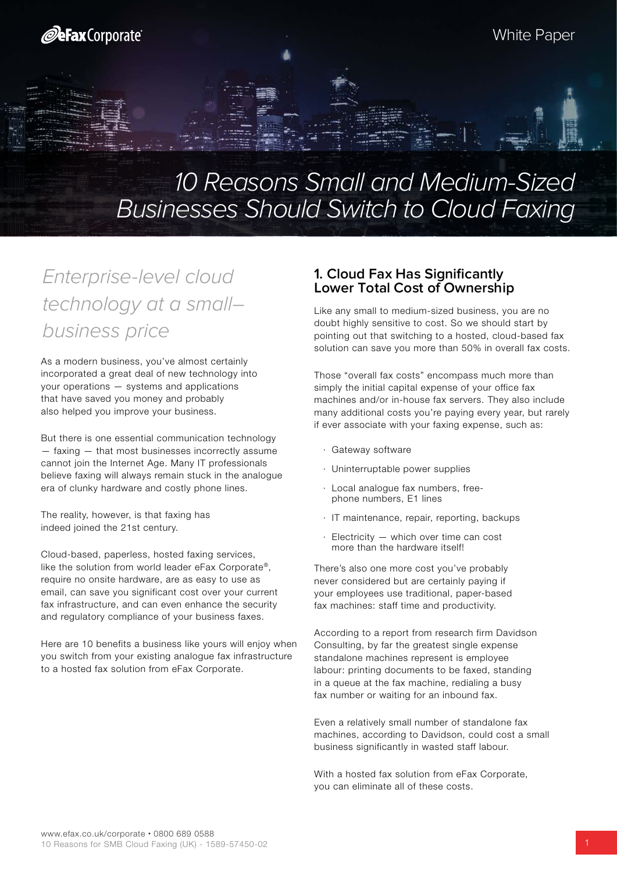# 10 Reasons Small and Medium-Sized Businesses Should Switch to Cloud Faxing

## Enterprise-level cloud technology at a small– business price

As a modern business, you've almost certainly incorporated a great deal of new technology into your operations — systems and applications that have saved you money and probably also helped you improve your business.

But there is one essential communication technology — faxing — that most businesses incorrectly assume cannot join the Internet Age. Many IT professionals believe faxing will always remain stuck in the analogue era of clunky hardware and costly phone lines.

The reality, however, is that faxing has indeed joined the 21st century.

Cloud-based, paperless, hosted faxing services, like the solution from world leader eFax Corporate®, require no onsite hardware, are as easy to use as email, can save you significant cost over your current fax infrastructure, and can even enhance the security and regulatory compliance of your business faxes.

Here are 10 benefits a business like yours will enjoy when you switch from your existing analogue fax infrastructure to a hosted fax solution from eFax Corporate.

#### **1. Cloud Fax Has Significantly Lower Total Cost of Ownership**

Like any small to medium-sized business, you are no doubt highly sensitive to cost. So we should start by pointing out that switching to a hosted, cloud-based fax solution can save you more than 50% in overall fax costs.

Those "overall fax costs" encompass much more than simply the initial capital expense of your office fax machines and/or in-house fax servers. They also include many additional costs you're paying every year, but rarely if ever associate with your faxing expense, such as:

- · Gateway software
- · Uninterruptable power supplies
- Local analoque fax numbers, freephone numbers, E1 lines
- · IT maintenance, repair, reporting, backups
- $E$ lectricity  $-$  which over time can cost more than the hardware itself!

There's also one more cost you've probably never considered but are certainly paying if your employees use traditional, paper-based fax machines: staff time and productivity.

According to a report from research firm Davidson Consulting, by far the greatest single expense standalone machines represent is employee labour: printing documents to be faxed, standing in a queue at the fax machine, redialing a busy fax number or waiting for an inbound fax.

Even a relatively small number of standalone fax machines, according to Davidson, could cost a small business significantly in wasted staff labour.

With a hosted fax solution from eFax Corporate, you can eliminate all of these costs.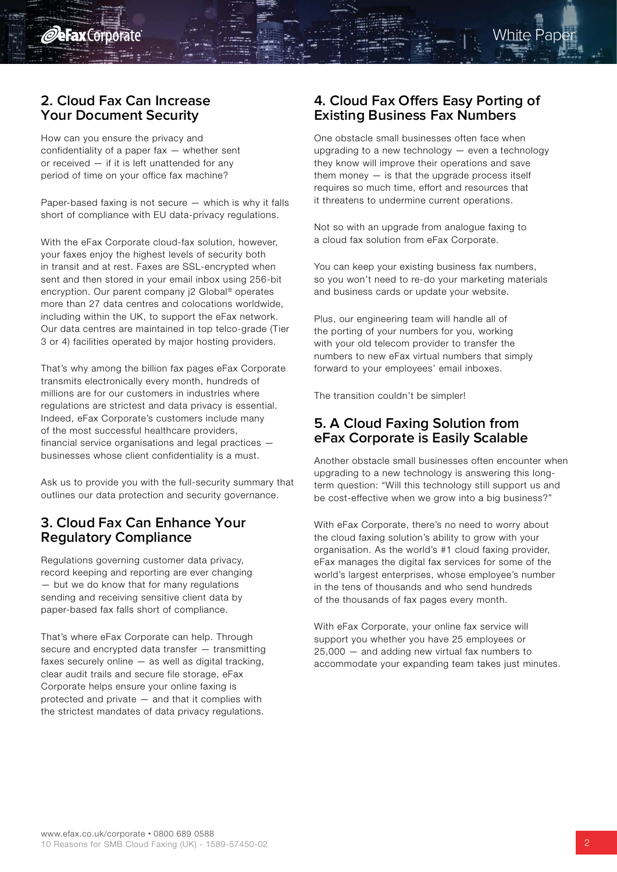

#### **2. Cloud Fax Can Increase Your Document Security**

How can you ensure the privacy and confidentiality of a paper fax — whether sent or received — if it is left unattended for any period of time on your office fax machine?

Paper-based faxing is not secure — which is why it falls short of compliance with EU data-privacy regulations.

With the eFax Corporate cloud-fax solution, however, your faxes enjoy the highest levels of security both in transit and at rest. Faxes are SSL-encrypted when sent and then stored in your email inbox using 256-bit encryption. Our parent company j2 Global® operates more than 27 data centres and colocations worldwide, including within the UK, to support the eFax network. Our data centres are maintained in top telco-grade (Tier 3 or 4) facilities operated by major hosting providers.

That's why among the billion fax pages eFax Corporate transmits electronically every month, hundreds of millions are for our customers in industries where regulations are strictest and data privacy is essential. Indeed, eFax Corporate's customers include many of the most successful healthcare providers, financial service organisations and legal practices businesses whose client confidentiality is a must.

Ask us to provide you with the full-security summary that outlines our data protection and security governance.

#### **3. Cloud Fax Can Enhance Your Regulatory Compliance**

Regulations governing customer data privacy, record keeping and reporting are ever changing — but we do know that for many regulations sending and receiving sensitive client data by paper-based fax falls short of compliance.

That's where eFax Corporate can help. Through secure and encrypted data transfer — transmitting faxes securely online — as well as digital tracking, clear audit trails and secure file storage, eFax Corporate helps ensure your online faxing is protected and private — and that it complies with the strictest mandates of data privacy regulations.

#### **4. Cloud Fax Offers Easy Porting of Existing Business Fax Numbers**

One obstacle small businesses often face when upgrading to a new technology — even a technology they know will improve their operations and save them money  $-$  is that the upgrade process itself requires so much time, effort and resources that it threatens to undermine current operations.

Not so with an upgrade from analogue faxing to a cloud fax solution from eFax Corporate.

You can keep your existing business fax numbers, so you won't need to re-do your marketing materials and business cards or update your website.

Plus, our engineering team will handle all of the porting of your numbers for you, working with your old telecom provider to transfer the numbers to new eFax virtual numbers that simply forward to your employees' email inboxes.

The transition couldn't be simpler!

#### **5. A Cloud Faxing Solution from eFax Corporate is Easily Scalable**

Another obstacle small businesses often encounter when upgrading to a new technology is answering this longterm question: "Will this technology still support us and be cost-effective when we grow into a big business?"

With eFax Corporate, there's no need to worry about the cloud faxing solution's ability to grow with your organisation. As the world's #1 cloud faxing provider, eFax manages the digital fax services for some of the world's largest enterprises, whose employee's number in the tens of thousands and who send hundreds of the thousands of fax pages every month.

With eFax Corporate, your online fax service will support you whether you have 25 employees or 25,000 — and adding new virtual fax numbers to accommodate your expanding team takes just minutes.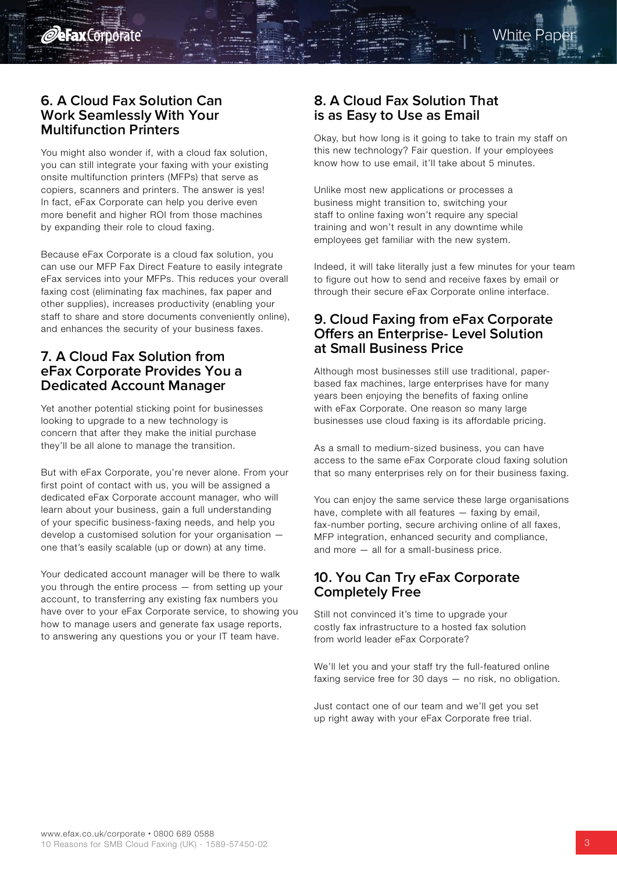

#### **6. A Cloud Fax Solution Can Work Seamlessly With Your Multifunction Printers**

You might also wonder if, with a cloud fax solution, you can still integrate your faxing with your existing onsite multifunction printers (MFPs) that serve as copiers, scanners and printers. The answer is yes! In fact, eFax Corporate can help you derive even more benefit and higher ROI from those machines by expanding their role to cloud faxing.

Because eFax Corporate is a cloud fax solution, you can use our MFP Fax Direct Feature to easily integrate eFax services into your MFPs. This reduces your overall faxing cost (eliminating fax machines, fax paper and other supplies), increases productivity (enabling your staff to share and store documents conveniently online), and enhances the security of your business faxes.

#### **7. A Cloud Fax Solution from eFax Corporate Provides You a Dedicated Account Manager**

Yet another potential sticking point for businesses looking to upgrade to a new technology is concern that after they make the initial purchase they'll be all alone to manage the transition.

But with eFax Corporate, you're never alone. From your first point of contact with us, you will be assigned a dedicated eFax Corporate account manager, who will learn about your business, gain a full understanding of your specific business-faxing needs, and help you develop a customised solution for your organisation one that's easily scalable (up or down) at any time.

Your dedicated account manager will be there to walk you through the entire process — from setting up your account, to transferring any existing fax numbers you have over to your eFax Corporate service, to showing you how to manage users and generate fax usage reports, to answering any questions you or your IT team have.

## **8. A Cloud Fax Solution That is as Easy to Use as Email**

Okay, but how long is it going to take to train my staff on this new technology? Fair question. If your employees know how to use email, it'll take about 5 minutes.

Unlike most new applications or processes a business might transition to, switching your staff to online faxing won't require any special training and won't result in any downtime while employees get familiar with the new system.

Indeed, it will take literally just a few minutes for your team to figure out how to send and receive faxes by email or through their secure eFax Corporate online interface.

#### **9. Cloud Faxing from eFax Corporate Offers an Enterprise- Level Solution at Small Business Price**

Although most businesses still use traditional, paperbased fax machines, large enterprises have for many years been enjoying the benefits of faxing online with eFax Corporate. One reason so many large businesses use cloud faxing is its affordable pricing.

As a small to medium-sized business, you can have access to the same eFax Corporate cloud faxing solution that so many enterprises rely on for their business faxing.

You can enjoy the same service these large organisations have, complete with all features — faxing by email, fax-number porting, secure archiving online of all faxes, MFP integration, enhanced security and compliance, and more — all for a small-business price.

#### **10. You Can Try eFax Corporate Completely Free**

Still not convinced it's time to upgrade your costly fax infrastructure to a hosted fax solution from world leader eFax Corporate?

We'll let you and your staff try the full-featured online faxing service free for 30 days — no risk, no obligation.

Just contact one of our team and we'll get you set up right away with your eFax Corporate free trial.